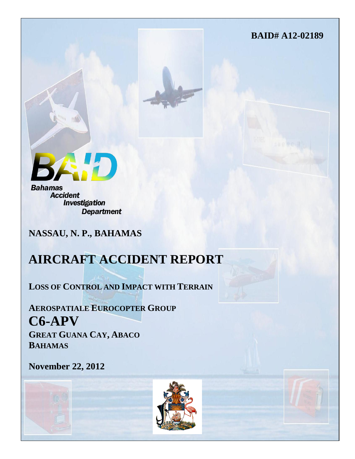**BAID# A12-02189**



**Accident Investigation Department** 

**NASSAU, N. P., BAHAMAS**

# **AIRCRAFT ACCIDENT REPORT**

**LOSS OF CONTROL AND IMPACT WITH TERRAIN**

**AEROSPATIALE EUROCOPTER GROUP C6-APV GREAT GUANA CAY, ABACO BAHAMAS**

**November 22, 2012**

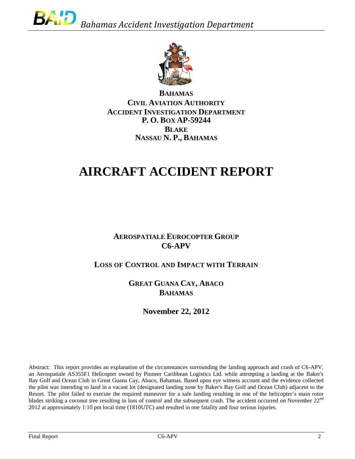

**BAHAMAS CIVIL AVIATION AUTHORITY ACCIDENT INVESTIGATION DEPARTMENT P. O. BOX AP-59244 BLAKE NASSAU N. P., BAHAMAS**

# **AIRCRAFT ACCIDENT REPORT**

**AEROSPATIALE EUROCOPTER GROUP C6-APV**

**LOSS OF CONTROL AND IMPACT WITH TERRAIN**

**GREAT GUANA CAY, ABACO BAHAMAS**

**November 22, 2012**

Abstract: This report provides an explanation of the circumstances surrounding the landing approach and crash of C6-APV, an Aerospatiale AS355F1 Helicopter owned by Pioneer Caribbean Logistics Ltd. while attempting a landing at the Baker's Bay Golf and Ocean Club in Great Guana Cay, Abaco, Bahamas. Based upon eye witness account and the evidence collected the pilot was intending to land in a vacant lot (designated landing zone by Baker's Bay Golf and Ocean Club) adjacent to the Resort. The pilot failed to execute the required maneuver for a safe landing resulting in one of the helicopter's main rotor blades striking a coconut tree resulting in loss of control and the subsequent crash. The accident occurred on November 22<sup>nd</sup> 2012 at approximately 1:10 pm local time (1810UTC) and resulted in one fatality and four serious injuries.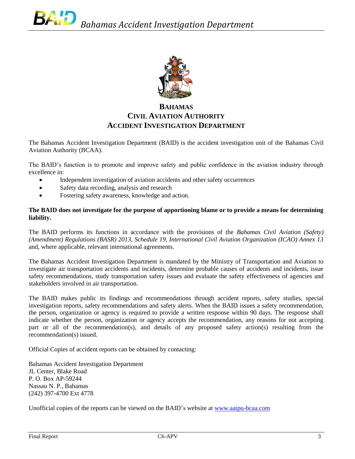

## **BAHAMAS CIVIL AVIATION AUTHORITY ACCIDENT INVESTIGATION DEPARTMENT**

The Bahamas Accident Investigation Department (BAID) is the accident investigation unit of the Bahamas Civil Aviation Authority (BCAA).

The BAID's function is to promote and improve safety and public confidence in the aviation industry through excellence in:

- Independent investigation of aviation accidents and other safety occurrences
- Safety data recording, analysis and research
- Fostering safety awareness, knowledge and action.

#### **The BAID does not investigate for the purpose of apportioning blame or to provide a means for determining liability.**

The BAID performs its functions in accordance with the provisions of the *Bahamas Civil Aviation (Safety) (Amendment) Regulations (BASR) 2013, Schedule 19, International Civil Aviation Organization (ICAO) Annex 13*  and, where applicable, relevant international agreements.

The Bahamas Accident Investigation Department is mandated by the Ministry of Transportation and Aviation to investigate air transportation accidents and incidents, determine probable causes of accidents and incidents, issue safety recommendations, study transportation safety issues and evaluate the safety effectiveness of agencies and stakeholders involved in air transportation.

The BAID makes public its findings and recommendations through accident reports, safety studies, special investigation reports, safety recommendations and safety alerts. When the BAID issues a safety recommendation, the person, organization or agency is required to provide a written response within 90 days. The response shall indicate whether the person, organization or agency accepts the recommendation, any reasons for not accepting part or all of the recommendation(s), and details of any proposed safety action(s) resulting from the recommendation(s) issued.

Official Copies of accident reports can be obtained by contacting:

Bahamas Accident Investigation Department JL Center, Blake Road P. O. Box AP-59244 Nassau N. P., Bahamas (242) 397-4700 Ext 4778

Unofficial copies of the reports can be viewed on the BAID's website at [www.aaipu-bcaa.com](http://www.aaipu-bcaa.com/)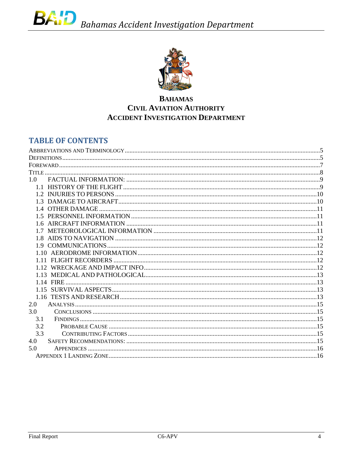

## **BAHAMAS CIVIL AVIATION AUTHORITY ACCIDENT INVESTIGATION DEPARTMENT**

## **TABLE OF CONTENTS**

| 1.0 |
|-----|
|     |
|     |
|     |
|     |
|     |
|     |
|     |
|     |
|     |
|     |
|     |
|     |
|     |
|     |
|     |
|     |
| 2.0 |
| 3.0 |
| 3.1 |
| 3.2 |
| 3.3 |
| 4.0 |
| 5.0 |
|     |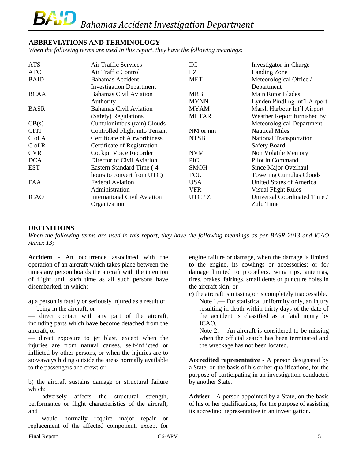#### <span id="page-4-0"></span>**ABBREVIATIONS AND TERMINOLOGY**

*When the following terms are used in this report, they have the following meanings:*

| <b>ATS</b>  | <b>Air Traffic Services</b>         | <b>IIC</b>   | Investigator-in-Charge         |  |
|-------------|-------------------------------------|--------------|--------------------------------|--|
| <b>ATC</b>  | Air Traffic Control                 | LZ           | Landing Zone                   |  |
| <b>BAID</b> | <b>Bahamas Accident</b>             | <b>MET</b>   | Meteorological Office /        |  |
|             | <b>Investigation Department</b>     |              | Department                     |  |
| <b>BCAA</b> | <b>Bahamas Civil Aviation</b>       | <b>MRB</b>   | <b>Main Rotor Blades</b>       |  |
|             | Authority                           | <b>MYNN</b>  | Lynden Pindling Int'l Airport  |  |
| <b>BASR</b> | <b>Bahamas Civil Aviation</b>       | <b>MYAM</b>  | Marsh Harbour Int'l Airport    |  |
|             | (Safety) Regulations                | <b>METAR</b> | Weather Report furnished by    |  |
| CB(s)       | Cumulonimbus (rain) Clouds          |              | Meteorological Department      |  |
| <b>CFIT</b> | Controlled Flight into Terrain      | NM or nm     | <b>Nautical Miles</b>          |  |
| C of A      | Certificate of Airworthiness        | <b>NTSB</b>  | <b>National Transportation</b> |  |
| $C$ of $R$  | Certificate of Registration         |              | <b>Safety Board</b>            |  |
| <b>CVR</b>  | Cockpit Voice Recorder              | <b>NVM</b>   | Non Volatile Memory            |  |
| <b>DCA</b>  | Director of Civil Aviation          | PIC          | Pilot in Command               |  |
| <b>EST</b>  | Eastern Standard Time (-4)          | <b>SMOH</b>  | Since Major Overhaul           |  |
|             | hours to convert from UTC)          | <b>TCU</b>   | <b>Towering Cumulus Clouds</b> |  |
| <b>FAA</b>  | <b>Federal Aviation</b>             | USA.         | United States of America       |  |
|             | Administration                      | <b>VFR</b>   | <b>Visual Flight Rules</b>     |  |
| <b>ICAO</b> | <b>International Civil Aviation</b> | UTC / Z      | Universal Coordinated Time /   |  |
|             | Organization                        |              | Zulu Time                      |  |

#### <span id="page-4-1"></span>**DEFINITIONS**

When the following terms are used in this report, they have the following meanings as per BASR 2013 and ICAO *Annex 13;*

**Accident -** An occurrence associated with the operation of an aircraft which takes place between the times any person boards the aircraft with the intention of flight until such time as all such persons have disembarked, in which:

a) a person is fatally or seriously injured as a result of:

— being in the aircraft, or

— direct contact with any part of the aircraft, including parts which have become detached from the aircraft, or

— direct exposure to jet blast, except when the injuries are from natural causes, self-inflicted or inflicted by other persons, or when the injuries are to stowaways hiding outside the areas normally available to the passengers and crew; or

b) the aircraft sustains damage or structural failure which:

— adversely affects the structural strength, performance or flight characteristics of the aircraft, and

— would normally require major repair or replacement of the affected component, except for engine failure or damage, when the damage is limited to the engine, its cowlings or accessories; or for damage limited to propellers, wing tips, antennas, tires, brakes, fairings, small dents or puncture holes in the aircraft skin; or

c) the aircraft is missing or is completely inaccessible.

Note 1.— For statistical uniformity only, an injury resulting in death within thirty days of the date of the accident is classified as a fatal injury by ICAO.

Note 2.— An aircraft is considered to be missing when the official search has been terminated and the wreckage has not been located.

**Accredited representative -** A person designated by a State, on the basis of his or her qualifications, for the purpose of participating in an investigation conducted by another State.

**Adviser** - A person appointed by a State, on the basis of his or her qualifications, for the purpose of assisting its accredited representative in an investigation.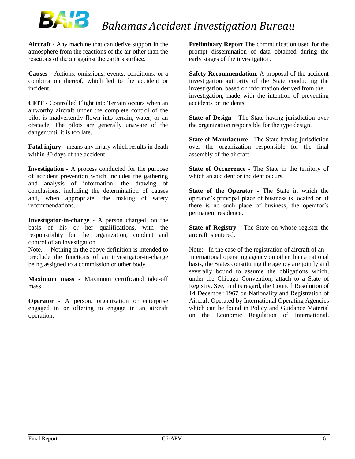

**Aircraft -** Any machine that can derive support in the atmosphere from the reactions of the air other than the reactions of the air against the earth's surface.

**Causes -** Actions, omissions, events, conditions, or a combination thereof, which led to the accident or incident.

**CFIT -** Controlled Flight into Terrain occurs when an airworthy aircraft under the complete control of the pilot is inadvertently flown into terrain, water, or an obstacle. The pilots are generally unaware of the danger until it is too late.

**Fatal injury** - means any injury which results in death within 30 days of the accident.

**Investigation -** A process conducted for the purpose of accident prevention which includes the gathering and analysis of information, the drawing of conclusions, including the determination of causes and, when appropriate, the making of safety recommendations.

**Investigator-in-charge -** A person charged, on the basis of his or her qualifications, with the responsibility for the organization, conduct and control of an investigation.

Note.— Nothing in the above definition is intended to preclude the functions of an investigator-in-charge being assigned to a commission or other body.

**Maximum mass -** Maximum certificated take-off mass.

**Operator -** A person, organization or enterprise engaged in or offering to engage in an aircraft operation.

**Preliminary Report** The communication used for the prompt dissemination of data obtained during the early stages of the investigation.

**Safety Recommendation.** A proposal of the accident investigation authority of the State conducting the investigation, based on information derived from the investigation, made with the intention of preventing accidents or incidents.

**State of Design -** The State having jurisdiction over the organization responsible for the type design.

**State of Manufacture -** The State having jurisdiction over the organization responsible for the final assembly of the aircraft.

**State of Occurrence -** The State in the territory of which an accident or incident occurs.

**State of the Operator -** The State in which the operator's principal place of business is located or, if there is no such place of business, the operator's permanent residence.

**State of Registry -** The State on whose register the aircraft is entered.

Note: - In the case of the registration of aircraft of an International operating agency on other than a national basis, the States constituting the agency are jointly and severally bound to assume the obligations which, under the Chicago Convention, attach to a State of Registry. See, in this regard, the Council Resolution of 14 December 1967 on Nationality and Registration of Aircraft Operated by International Operating Agencies which can be found in Policy and Guidance Material on the Economic Regulation of International.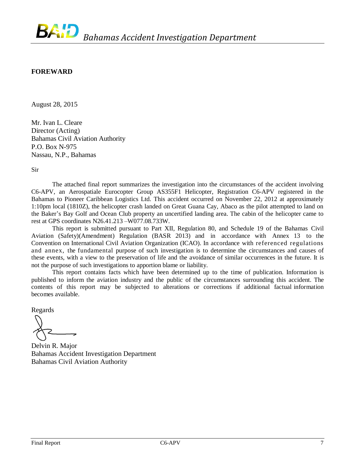#### <span id="page-6-0"></span>**FOREWARD**

August 28, 2015

Mr. Ivan L. Cleare Director (Acting) Bahamas Civil Aviation Authority P.O. Box N-975 Nassau, N.P., Bahamas

Sir

The attached final report summarizes the investigation into the circumstances of the accident involving C6-APV, an Aerospatiale Eurocopter Group AS355F1 Helicopter, Registration C6-APV registered in the Bahamas to Pioneer Caribbean Logistics Ltd. This accident occurred on November 22, 2012 at approximately 1:10pm local (1810Z), the helicopter crash landed on Great Guana Cay, Abaco as the pilot attempted to land on the Baker's Bay Golf and Ocean Club property an uncertified landing area. The cabin of the helicopter came to rest at GPS coordinates N26.41.213 –W077.08.733W.

This report is submitted pursuant to Part XII, Regulation 80, and Schedule 19 of the Bahamas Civil Aviation (Safety)(Amendment) Regulation (BASR 2013) and in accordance with Annex 13 to the Convention on International Civil Aviation Organization (ICAO). In accordance with referenced regulations and annex, the fundamental purpose of such investigation is to determine the circumstances and causes of these events, with a view to the preservation of life and the avoidance of similar occurrences in the future. It is not the purpose of such investigations to apportion blame or liability.

This report contains facts which have been determined up to the time of publication. Information is published to inform the aviation industry and the public of the circumstances surrounding this accident. The contents of this report may be subjected to alterations or corrections if additional factual information becomes available.

Regards

Delvin R. Major Bahamas Accident Investigation Department Bahamas Civil Aviation Authority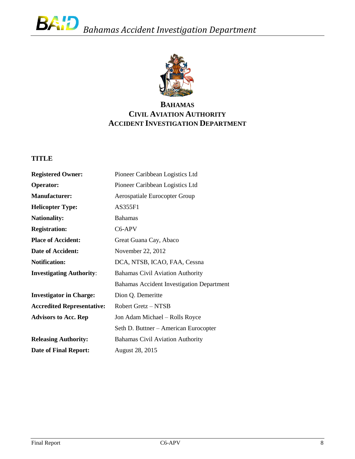

## **BAHAMAS CIVIL AVIATION AUTHORITY ACCIDENT INVESTIGATION DEPARTMENT**

### <span id="page-7-0"></span>**TITLE**

| <b>Registered Owner:</b>          | Pioneer Caribbean Logistics Ltd                  |  |  |
|-----------------------------------|--------------------------------------------------|--|--|
| <b>Operator:</b>                  | Pioneer Caribbean Logistics Ltd                  |  |  |
| <b>Manufacturer:</b>              | Aerospatiale Eurocopter Group                    |  |  |
| <b>Helicopter Type:</b>           | AS355F1                                          |  |  |
| <b>Nationality:</b>               | <b>Bahamas</b>                                   |  |  |
| <b>Registration:</b>              | C6-APV                                           |  |  |
| <b>Place of Accident:</b>         | Great Guana Cay, Abaco                           |  |  |
| Date of Accident:                 | November 22, 2012                                |  |  |
| <b>Notification:</b>              | DCA, NTSB, ICAO, FAA, Cessna                     |  |  |
| <b>Investigating Authority:</b>   | <b>Bahamas Civil Aviation Authority</b>          |  |  |
|                                   | <b>Bahamas Accident Investigation Department</b> |  |  |
| <b>Investigator in Charge:</b>    | Dion Q. Demeritte                                |  |  |
| <b>Accredited Representative:</b> | Robert Gretz - NTSB                              |  |  |
| <b>Advisors to Acc. Rep</b>       | Jon Adam Michael - Rolls Royce                   |  |  |
|                                   | Seth D. Buttner – American Eurocopter            |  |  |
| <b>Releasing Authority:</b>       | <b>Bahamas Civil Aviation Authority</b>          |  |  |
| <b>Date of Final Report:</b>      | <b>August 28, 2015</b>                           |  |  |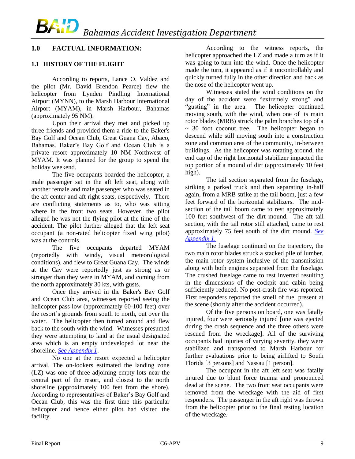#### <span id="page-8-0"></span>**1.0 FACTUAL INFORMATION:**

#### <span id="page-8-1"></span>**1.1 HISTORY OF THE FLIGHT**

According to reports, Lance O. Valdez and the pilot (Mr. David Brendon Pearce) flew the helicopter from Lynden Pindling International Airport (MYNN), to the Marsh Harbour International Airport (MYAM), in Marsh Harbour, Bahamas (approximately 95 NM).

Upon their arrival they met and picked up three friends and provided them a ride to the Baker's Bay Golf and Ocean Club, Great Guana Cay, Abaco, Bahamas. Baker's Bay Golf and Ocean Club is a private resort approximately 10 NM Northwest of MYAM. It was planned for the group to spend the holiday weekend.

The five occupants boarded the helicopter, a male passenger sat in the aft left seat, along with another female and male passenger who was seated in the aft center and aft right seats, respectively. There are conflicting statements as to, who was sitting where in the front two seats. However, the pilot alleged he was not the flying pilot at the time of the accident. The pilot further alleged that the left seat occupant (a non-rated helicopter fixed wing pilot) was at the controls.

The five occupants departed MYAM (reportedly with windy, visual meteorological conditions), and flew to Great Guana Cay. The winds at the Cay were reportedly just as strong as or stronger than they were in MYAM, and coming from the north approximately 30 kts, with gusts.

Once they arrived in the Baker's Bay Golf and Ocean Club area, witnesses reported seeing the helicopter pass low (approximately 60-100 feet) over the resort's grounds from south to north, out over the water. The helicopter then turned around and flew back to the south with the wind. Witnesses presumed they were attempting to land at the usual designated area which is an empty undeveloped lot near the shoreline. *[See Appendix 1](#page-15-1)*.

No one at the resort expected a helicopter arrival. The on-lookers estimated the landing zone (LZ) was one of three adjoining empty lots near the central part of the resort, and closest to the north shoreline (approximately 100 feet from the shore). According to representatives of Baker's Bay Golf and Ocean Club, this was the first time this particular helicopter and hence either pilot had visited the facility.

According to the witness reports, the helicopter approached the LZ and made a turn as if it was going to turn into the wind. Once the helicopter made the turn, it appeared as if it uncontrollably and quickly turned fully in the other direction and back as the nose of the helicopter went up.

Witnesses stated the wind conditions on the day of the accident were "extremely strong" and "gusting" in the area. The helicopter continued moving south, with the wind, when one of its main rotor blades (MRB) struck the palm branches top of a  $\sim$  30 foot coconut tree. The helicopter began to descend while still moving south into a construction zone and common area of the community, in-between buildings. As the helicopter was rotating around, the end cap of the right horizontal stabilizer impacted the top portion of a mound of dirt (approximately 10 feet high).

The tail section separated from the fuselage, striking a parked truck and then separating in-half again, from a MRB strike at the tail boom, just a few feet forward of the horizontal stabilizers. The midsection of the tail boom came to rest approximately 100 feet southwest of the dirt mound. The aft tail section, with the tail rotor still attached, came to rest approximately 75 feet south of the dirt mound. *[See](#page-15-1)  [Appendix 1.](#page-15-1)*

The fuselage continued on the trajectory, the two main rotor blades struck a stacked pile of lumber, the main rotor system inclusive of the transmission along with both engines separated from the fuselage. The crushed fuselage came to rest inverted resulting in the dimensions of the cockpit and cabin being sufficiently reduced. No post-crash fire was reported. First responders reported the smell of fuel present at the scene (shortly after the accident occurred).

Of the five persons on board, one was fatally injured, four were seriously injured [one was ejected during the crash sequence and the three others were rescued from the wreckage]. All of the surviving occupants had injuries of varying severity, they were stabilized and transported to Marsh Harbour for further evaluations prior to being airlifted to South Florida [3 persons] and Nassau [1 person].

The occupant in the aft left seat was fatally injured due to blunt force trauma and pronounced dead at the scene. The two front seat occupants were removed from the wreckage with the aid of first responders. The passenger in the aft right was thrown from the helicopter prior to the final resting location of the wreckage.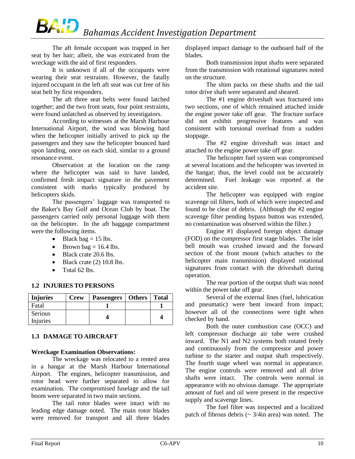The aft female occupant was trapped in her seat by her hair; albeit, she was extricated from the wreckage with the aid of first responders.

It is unknown if all of the occupants were wearing their seat restraints. However, the fatally injured occupant in the left aft seat was cut free of his seat belt by first responders.

The aft three seat belts were found latched together; and the two front seats, four point restraints, were found unlatched as observed by investigators.

According to witnesses at the Marsh Harbour International Airport, the wind was blowing hard when the helicopter initially arrived to pick up the passengers and they saw the helicopter bounced hard upon landing, once on each skid, similar to a ground resonance event.

Observation at the location on the ramp where the helicopter was said to have landed, confirmed fresh impact signature in the pavement consistent with marks typically produced by helicopters skids.

The passengers' luggage was transported to the Baker's Bay Golf and Ocean Club by boat. The passengers carried only personal luggage with them on the helicopter. In the aft baggage compartment were the following items.

- $\bullet$  Black bag = 15 lbs.
- $\bullet$  Brown bag = 16.4 lbs.
- Black crate 20.6 lbs.
- $\bullet$  Black crate (2) 10.8 lbs.
- $\bullet$  Total 62 lbs.

#### <span id="page-9-0"></span>**1.2 INJURIES TO PERSONS**

| <b>Injuries</b>            | <b>Crew</b> | Passengers   Others | <b>Total</b> |
|----------------------------|-------------|---------------------|--------------|
| Fatal                      |             |                     |              |
| Serious<br><b>Injuries</b> |             |                     |              |

#### <span id="page-9-1"></span>**1.3 DAMAGE TO AIRCRAFT**

#### **Wreckage Examination Observations:**

The wreckage was relocated to a rented area in a hangar at the Marsh Harbour International Airport. The engines, helicopter transmission, and rotor head were further separated to allow for examination. The compromised fuselage and the tail boom were separated in two main sections.

The tail rotor blades were intact with no leading edge damage noted. The main rotor blades were removed for transport and all three blades

displayed impact damage to the outboard half of the blades.

Both transmission input shafts were separated from the transmission with rotational signatures noted on the structure.

The shim packs on these shafts and the tail rotor drive shaft were separated and sheared.

The #1 engine driveshaft was fractured into two sections, one of which remained attached inside the engine power take off gear. The fracture surface did not exhibit progressive features and was consistent with torsional overload from a sudden stoppage.

The #2 engine driveshaft was intact and attached to the engine power take off gear.

The helicopter fuel system was compromised at several locations and the helicopter was inverted in the hangar; thus, the level could not be accurately determined. Fuel leakage was reported at the accident site.

The helicopter was equipped with engine scavenge oil filters, both of which were inspected and found to be clear of debris. (Although the #2 engine scavenge filter pending bypass button was extended, no contamination was observed within the filter.)

Engine #1 displayed foreign object damage (FOD) on the compressor first stage blades. The inlet bell mouth was crushed inward and the forward section of the front mount (which attaches to the helicopter main transmission) displayed rotational signatures from contact with the driveshaft during operation.

The rear portion of the output shaft was noted within the power take off gear.

Several of the external lines (fuel, lubrication and pneumatic) were bent inward from impact; however all of the connections were tight when checked by hand.

Both the outer combustion case (OCC) and left compressor discharge air tube were crushed inward. The N1 and N2 systems both rotated freely and continuously from the compressor and power turbine to the starter and output shaft respectively. The fourth stage wheel was normal in appearance. The engine controls were removed and all drive shafts were intact. The controls were normal in appearance with no obvious damage. The appropriate amount of fuel and oil were present in the respective supply and scavenge lines.

The fuel filter was inspected and a localized patch of fibrous debris  $({\sim} 3/4)$ in area) was noted. The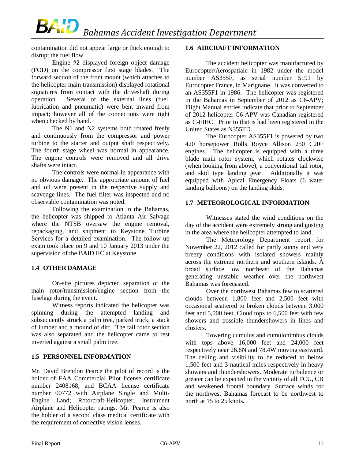contamination did not appear large or thick enough to disrupt the fuel flow.

Engine #2 displayed foreign object damage (FOD) on the compressor first stage blades. The forward section of the front mount (which attaches to the helicopter main transmission) displayed rotational signatures from contact with the driveshaft during operation. Several of the external lines (fuel, lubrication and pneumatic) were bent inward from impact; however all of the connections were tight when checked by hand.

The N1 and N2 systems both rotated freely and continuously from the compressor and power turbine to the starter and output shaft respectively. The fourth stage wheel was normal in appearance. The engine controls were removed and all drive shafts were intact.

The controls were normal in appearance with no obvious damage. The appropriate amount of fuel and oil were present in the respective supply and scavenge lines. The fuel filter was inspected and no observable contamination was noted.

Following the examination in the Bahamas, the helicopter was shipped to Atlanta Air Salvage where the NTSB oversaw the engine removal, repackaging, and shipment to Keystone Turbine Services for a detailed examination. The follow up exam took place on 9 and 10 January 2013 under the supervision of the BAID IIC at Keystone.

#### <span id="page-10-0"></span>**1.4 OTHER DAMAGE**

On-site pictures depicted separation of the main rotor/transmission/engine section from the fuselage during the event.

Witness reports indicated the helicopter was spinning during the attempted landing and subsequently struck a palm tree, parked truck, a stack of lumber and a mound of dirt. The tail rotor section was also separated and the helicopter came to rest inverted against a small palm tree.

#### <span id="page-10-1"></span>**1.5 PERSONNEL INFORMATION**

Mr. David Brendon Pearce the pilot of record is the holder of FAA Commercial Pilot license certificate number 2408168, and BCAA license certificate number 00772 with Airplane Single and Multi-Engine Land; Rotorcraft-Helicopter; Instrument Airplane and Helicopter ratings. Mr. Pearce is also the holder of a second class medical certificate with the requirement of corrective vision lenses.

#### <span id="page-10-2"></span>**1.6 AIRCRAFT INFORMATION**

The accident helicopter was manufactured by Eurocopter/Aerospatiale in 1982 under the model number AS355F, as serial number 5191 by Eurocopter France, in Marignane. It was converted to an AS355F1 in 1986. The helicopter was registered in the Bahamas in September of 2012 as C6-APV; Flight Manual entries indicate that prior to September of 2012 helicopter C6-APV was Canadian registered as C-FIHC. Prior to that is had been registered in the United States as N355TD.

The Eurocopter AS355F1 is powered by two 420 horsepower Rolls Royce Allison 250 C20F engines. The helicopter is equipped with a three blade main rotor system, which rotates clockwise (when looking from above), a conventional tail rotor, and skid type landing gear. Additionally it was equipped with Apical Emergency Floats (6 water landing balloons) on the landing skids.

#### <span id="page-10-3"></span>**1.7 METEOROLOGICAL INFORMATION**

Witnesses stated the wind conditions on the day of the accident were extremely strong and gusting in the area where the helicopter attempted to land.

The Meteorology Department report for November 22, 2012 called for partly sunny and very breezy conditions with isolated showers mainly across the extreme northern and southern islands. A broad surface low northeast of the Bahamas generating unstable weather over the northwest Bahamas was forecasted.

Over the northwest Bahamas few to scattered clouds between 1,800 feet and 2,500 feet with occasional scattered to broken clouds between 3,000 feet and 5,000 feet. Cloud tops to 6,500 feet with few showers and possible thundershowers in lines and clusters.

Towering cumulus and cumulonimbus clouds with tops above 16,000 feet and 24,000 feet respectively near 26.6N and 78.4W moving eastward. The ceiling and visibility to be reduced to below 1,500 feet and 3 nautical miles respectively in heavy showers and thundershowers. Moderate turbulence or greater can be expected in the vicinity of all TCU, CB and weakened frontal boundary. Surface winds for the northwest Bahamas forecast to be northwest to north at 15 to 25 knots.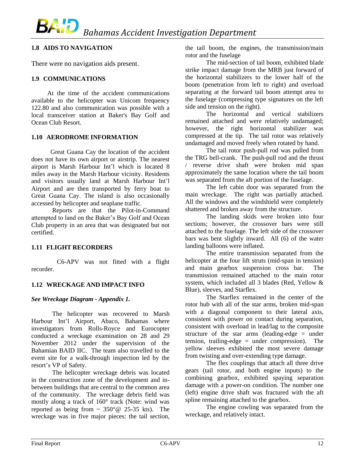#### <span id="page-11-0"></span>**1.8 AIDS TO NAVIGATION**

There were no navigation aids present.

#### <span id="page-11-1"></span>**1.9 COMMUNICATIONS**

 At the time of the accident communications available to the helicopter was Unicom frequency 122.80 and also communication was possible with a local transceiver station at Baker's Bay Golf and Ocean Club Resort.

#### <span id="page-11-2"></span>**1.10 AERODROME INFORMATION**

 Great Guana Cay the location of the accident does not have its own airport or airstrip. The nearest airport is Marsh Harbour Int'l which is located 8 miles away in the Marsh Harbour vicinity. Residents and visitors usually land at Marsh Harbour Int'l Airport and are then transported by ferry boat to Great Guana Cay. The island is also occasionally accessed by helicopter and seaplane traffic.

Reports are that the Pilot-in-Command attempted to land on the Baker's Bay Golf and Ocean Club property in an area that was designated but not certified.

#### <span id="page-11-3"></span>**1.11 FLIGHT RECORDERS**

 C6-APV was not fitted with a flight recorder.

#### <span id="page-11-4"></span>**1.12 WRECKAGE AND IMPACT INFO**

#### *See Wreckage Diagram - Appendix 1.*

The helicopter was recovered to Marsh Harbour Int'l Airport, Abaco, Bahamas where investigators from Rolls-Royce and Eurocopter conducted a wreckage examination on 28 and 29 November 2012 under the supervision of the Bahamian BAID IIC. The team also travelled to the event site for a walk-through inspection led by the resort's VP of Safety.

The helicopter wreckage debris was located in the construction zone of the development and inbetween buildings that are central to the common area of the community. The wreckage debris field was mostly along a track of 160° track (Note: wind was reported as being from  $\sim 350^{\circ}$  ( $\omega$  25-35 kts). The wreckage was in five major pieces: the tail section, the tail boom, the engines, the transmission/main rotor and the fuselage

The mid-section of tail boom, exhibited blade strike impact damage from the MRB just forward of the horizontal stabilizers to the lower half of the boom (penetration from left to right) and overload separating at the forward tail boom attempt area to the fuselage (compressing type signatures on the left side and tension on the right).

The horizontal and vertical stabilizers remained attached and were relatively undamaged; however, the right horizontal stabilizer was compressed at the tip. The tail rotor was relatively undamaged and moved freely when rotated by hand.

The tail rotor push-pull rod was pulled from the TRG bell-crank. The push-pull rod and the thrust / reverse drive shaft were broken mid span approximately the same location where the tail boom was separated from the aft portion of the fuselage.

The left cabin door was separated from the main wreckage. The right was partially attached. All the windows and the windshield were completely shattered and broken away from the structure.

The landing skids were broken into four sections; however, the crossover bars were still attached to the fuselage. The left side of the crossover bars was bent slightly inward. All (6) of the water landing balloons were inflated.

The entire transmission separated from the helicopter at the four lift struts (mid-span in tension) and main gearbox suspension cross bar. The transmission remained attached to the main rotor system, which included all 3 blades (Red, Yellow & Blue), sleeves, and Starflex.

The Starflex remained in the center of the rotor hub with all of the star arms, broken mid-span with a diagonal component to their lateral axis, consistent with power on contact during separation, consistent with overload in lead/lag to the composite structure of the star arms (leading-edge = under tension, trailing-edge = under compression). The yellow sleeves exhibited the most severe damage from twisting and over-extending type damage.

The flex couplings that attach all three drive gears (tail rotor, and both engine inputs) to the combining gearbox, exhibited spaying separation damage with a power-on condition. The number one (left) engine drive shaft was fractured with the aft spline remaining attached to the gearbox.

The engine cowling was separated from the wreckage, and relatively intact.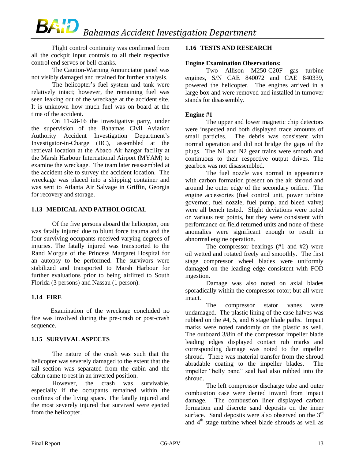Flight control continuity was confirmed from all the cockpit input controls to all their respective control end servos or bell-cranks.

The Caution-Warning Annunciator panel was not visibly damaged and retained for further analysis.

The helicopter's fuel system and tank were relatively intact; however, the remaining fuel was seen leaking out of the wreckage at the accident site. It is unknown how much fuel was on board at the time of the accident.

On 11-28-16 the investigative party, under the supervision of the Bahamas Civil Aviation Authority Accident Investigation Department's Investigator-in-Charge (IIC), assembled at the retrieval location at the Abaco Air hangar facility at the Marsh Harbour International Airport (MYAM) to examine the wreckage. The team later reassembled at the accident site to survey the accident location. The wreckage was placed into a shipping container and was sent to Atlanta Air Salvage in Griffin, Georgia for recovery and storage.

#### <span id="page-12-0"></span>**1.13 MEDICAL AND PATHOLOGICAL**

 Of the five persons aboard the helicopter, one was fatally injured due to blunt force trauma and the four surviving occupants received varying degrees of injuries. The fatally injured was transported to the Rand Morgue of the Princess Margaret Hospital for an autopsy to be performed. The survivors were stabilized and transported to Marsh Harbour for further evaluations prior to being airlifted to South Florida (3 persons) and Nassau (1 person).

#### <span id="page-12-1"></span>**1.14 FIRE**

 Examination of the wreckage concluded no fire was involved during the pre-crash or post-crash sequence.

#### <span id="page-12-2"></span>**1.15 SURVIVAL ASPECTS**

The nature of the crash was such that the helicopter was severely damaged to the extent that the tail section was separated from the cabin and the cabin came to rest in an inverted position.

However, the crash was survivable, especially if the occupants remained within the confines of the living space. The fatally injured and the most severely injured that survived were ejected from the helicopter.

#### <span id="page-12-3"></span>**1.16 TESTS AND RESEARCH**

#### **Engine Examination Observations:**

Two Allison M250-C20F gas turbine engines, S/N CAE 840072 and CAE 840339, powered the helicopter. The engines arrived in a large box and were removed and installed in turnover stands for disassembly.

#### **Engine #1**

The upper and lower magnetic chip detectors were inspected and both displayed trace amounts of small particles. The debris was consistent with normal operation and did not bridge the gaps of the plugs. The N1 and N2 gear trains were smooth and continuous to their respective output drives. The gearbox was not disassembled.

The fuel nozzle was normal in appearance with carbon formation present on the air shroud and around the outer edge of the secondary orifice. The engine accessories (fuel control unit, power turbine governor, fuel nozzle, fuel pump, and bleed valve) were all bench tested. Slight deviations were noted on various test points, but they were consistent with performance on field returned units and none of these anomalies were significant enough to result in abnormal engine operation.

The compressor bearings (#1 and #2) were oil wetted and rotated freely and smoothly. The first stage compressor wheel blades were uniformly damaged on the leading edge consistent with FOD ingestion.

Damage was also noted on axial blades sporadically within the compressor rotor; but all were intact.

The compressor stator vanes were undamaged. The plastic lining of the case halves was rubbed on the #4, 5, and 6 stage blade paths. Impact marks were noted randomly on the plastic as well. The outboard 3/8in of the compressor impeller blade leading edges displayed contact rub marks and corresponding damage was noted to the impeller shroud. There was material transfer from the shroud abradable coating to the impeller blades. The impeller "belly band" seal had also rubbed into the shroud.

The left compressor discharge tube and outer combustion case were dented inward from impact damage. The combustion liner displayed carbon formation and discrete sand deposits on the inner surface. Sand deposits were also observed on the  $3<sup>rd</sup>$ and  $4<sup>th</sup>$  stage turbine wheel blade shrouds as well as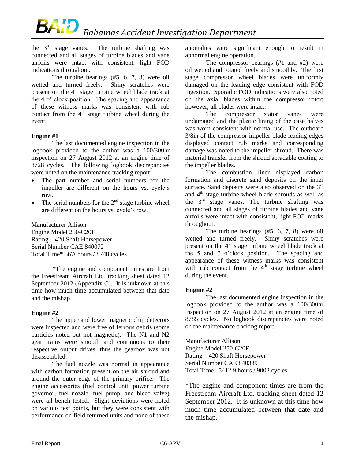the  $3<sup>rd</sup>$  stage vanes. The turbine shafting was connected and all stages of turbine blades and vane airfoils were intact with consistent, light FOD indications throughout.

The turbine bearings (#5, 6, 7, 8) were oil wetted and turned freely. Shiny scratches were present on the 4<sup>th</sup> stage turbine wheel blade track at the 4 o' clock position. The spacing and appearance of these witness marks was consistent with rub contact from the  $4<sup>th</sup>$  stage turbine wheel during the event.

#### **Engine #1**

The last documented engine inspection in the logbook provided to the author was a 100/300hr inspection on 27 August 2012 at an engine time of 8728 cycles. The following logbook discrepancies were noted on the maintenance tracking report:

- The part number and serial numbers for the impeller are different on the hours vs. cycle's row.
- The serial numbers for the  $2<sup>nd</sup>$  stage turbine wheel are different on the hours vs. cycle's row.

Manufacturer Allison Engine Model 250-C20F Rating 420 Shaft Horsepower Serial Number CAE 840072 Total Time\* 5676hours / 8748 cycles

\*The engine and component times are from the Freestream Aircraft Ltd. tracking sheet dated 12 September 2012 (Appendix C). It is unknown at this time how much time accumulated between that date and the mishap.

#### **Engine #2**

The upper and lower magnetic chip detectors were inspected and were free of ferrous debris (some particles noted but not magnetic). The N1 and N2 gear trains were smooth and continuous to their respective output drives, thus the gearbox was not disassembled.

The fuel nozzle was normal in appearance with carbon formation present on the air shroud and around the outer edge of the primary orifice. The engine accessories (fuel control unit, power turbine governor, fuel nozzle, fuel pump, and bleed valve) were all bench tested. Slight deviations were noted on various test points, but they were consistent with performance on field returned units and none of these anomalies were significant enough to result in abnormal engine operation.

The compressor bearings (#1 and #2) were oil wetted and rotated freely and smoothly. The first stage compressor wheel blades were uniformly damaged on the leading edge consistent with FOD ingestion. Sporadic FOD indications were also noted on the axial blades within the compressor rotor; however, all blades were intact.

The compressor stator vanes were undamaged and the plastic lining of the case halves was worn consistent with normal use. The outboard 3/8in of the compressor impeller blade leading edges displayed contact rub marks and corresponding damage was noted to the impeller shroud. There was material transfer from the shroud abradable coating to the impeller blades.

The combustion liner displayed carbon formation and discrete sand deposits on the inner surface. Sand deposits were also observed on the  $3<sup>rd</sup>$ and  $4<sup>th</sup>$  stage turbine wheel blade shrouds as well as the  $3<sup>rd</sup>$  stage vanes. The turbine shafting was connected and all stages of turbine blades and vane airfoils were intact with consistent, light FOD marks throughout.

The turbine bearings (#5, 6, 7, 8) were oil wetted and turned freely. Shiny scratches were present on the  $4<sup>th</sup>$  stage turbine wheel blade track at the 5 and 7 o'clock position. The spacing and appearance of these witness marks was consistent with rub contact from the  $4<sup>th</sup>$  stage turbine wheel during the event.

#### **Engine #2**

The last documented engine inspection in the logbook provided to the author was a 100/300hr inspection on 27 August 2012 at an engine time of 8785 cycles. No logbook discrepancies were noted on the maintenance tracking report.

Manufacturer Allison Engine Model 250-C20F Rating 420 Shaft Horsepower Serial Number CAE 840339 Total Time 5412.9 hours / 9002 cycles

\*The engine and component times are from the Freestream Aircraft Ltd. tracking sheet dated 12 September 2012. It is unknown at this time how much time accumulated between that date and the mishap.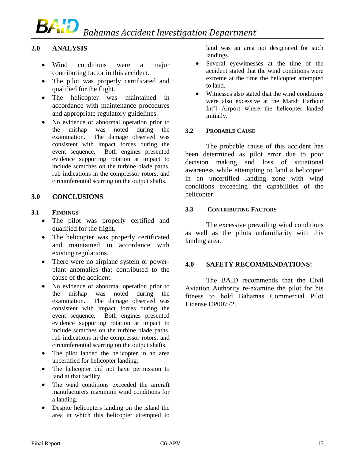## BAID *Bahamas Accident Investigation Department*

#### <span id="page-14-0"></span>**2.0 ANALYSIS**

- Wind conditions were a major contributing factor in this accident.
- The pilot was properly certificated and qualified for the flight.
- The helicopter was maintained in accordance with maintenance procedures and appropriate regulatory guidelines.
- No evidence of abnormal operation prior to the mishap was noted during the examination. The damage observed was consistent with impact forces during the event sequence. Both engines presented evidence supporting rotation at impact to include scratches on the turbine blade paths, rub indications in the compressor rotors, and circumferential scarring on the output shafts.

#### <span id="page-14-1"></span>**3.0 CONCLUSIONS**

#### <span id="page-14-2"></span>**3.1 FINDINGS**

- The pilot was properly certified and qualified for the flight.
- The helicopter was properly certificated and maintained in accordance with existing regulations.
- There were no airplane system or powerplant anomalies that contributed to the cause of the accident.
- No evidence of abnormal operation prior to the mishap was noted during the examination. The damage observed was consistent with impact forces during the event sequence. Both engines presented evidence supporting rotation at impact to include scratches on the turbine blade paths, rub indications in the compressor rotors, and circumferential scarring on the output shafts.
- The pilot landed the helicopter in an area uncertified for helicopter landing.
- The helicopter did not have permission to land at that facility.
- The wind conditions exceeded the aircraft manufacturers maximum wind conditions for a landing.
- Despite helicopters landing on the island the area in which this helicopter attempted to

land was an area not designated for such landings.

- Several eyewitnesses at the time of the accident stated that the wind conditions were extreme at the time the helicopter attempted to land.
- Witnesses also stated that the wind conditions were also excessive at the Marsh Harbour Int'l Airport where the helicopter landed initially.

#### <span id="page-14-3"></span>**3.2 PROBABLE CAUSE**

The probable cause of this accident has been determined as pilot error due to poor decision making and loss of situational awareness while attempting to land a helicopter in an uncertified landing zone with wind conditions exceeding the capabilities of the helicopter.

#### <span id="page-14-4"></span>**3.3 CONTRIBUTING FACTORS**

The excessive prevailing wind conditions as well as the pilots unfamiliarity with this landing area.

#### <span id="page-14-5"></span>**4.0 SAFETY RECOMMENDATIONS:**

The BAID recommends that the Civil Aviation Authority re-examine the pilot for his fitness to hold Bahamas Commercial Pilot License CP00772.